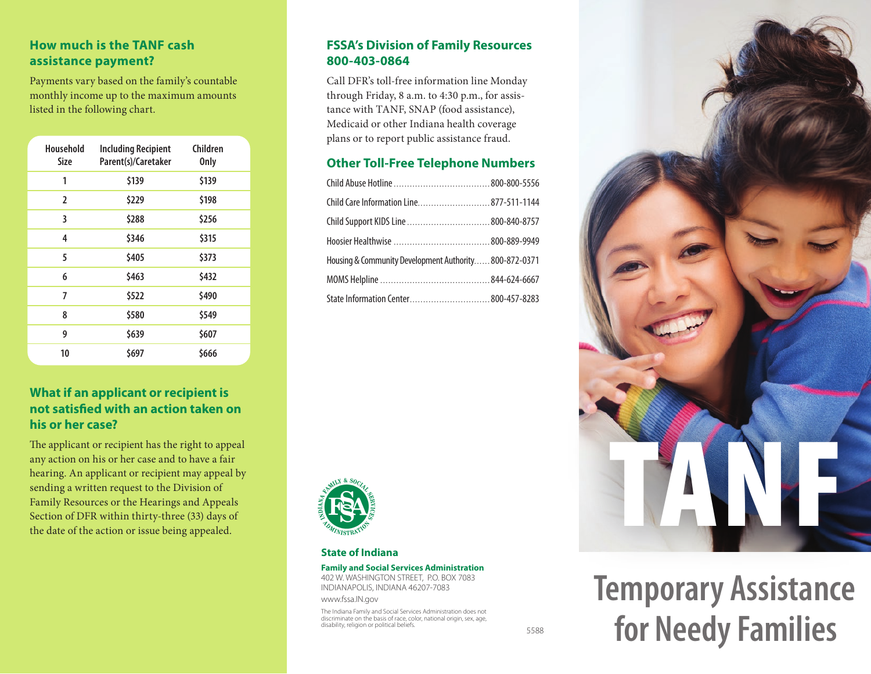## **How much is the TANF cash assistance payment?**

Payments vary based on the family's countable monthly income up to the maximum amounts listed in the following chart.

| Household<br>Size | <b>Including Recipient</b><br>Parent(s)/Caretaker | Children<br><b>Only</b> |
|-------------------|---------------------------------------------------|-------------------------|
| 1                 | \$139                                             | \$139                   |
| 2                 | \$229                                             | \$198                   |
| 3                 | \$288                                             | \$256                   |
| 4                 | \$346                                             | \$315                   |
| 5                 | \$405                                             | \$373                   |
| 6                 | \$463                                             | \$432                   |
| 7                 | \$522                                             | \$490                   |
| 8                 | \$580                                             | \$549                   |
| 9                 | \$639                                             | \$607                   |
| 10                | \$697                                             | \$666                   |

## **What if an applicant or recipient is not satisfied with an action taken on his or her case?**

The applicant or recipient has the right to appeal any action on his or her case and to have a fair hearing. An applicant or recipient may appeal by sending a written request to the Division of Family Resources or the Hearings and Appeals Section of DFR within thirty-three (33) days of the date of the action or issue being appealed.

### **FSSA's Division of Family Resources 800-403-0864**

Call DFR's toll-free information line Monday through Friday, 8 a.m. to 4:30 p.m., for assistance with TANF, SNAP (food assistance), Medicaid or other Indiana health coverage plans or to report public assistance fraud.

### **Other Toll-Free Telephone Numbers**

| Child Care Information Line 877-511-1144              |  |  |  |
|-------------------------------------------------------|--|--|--|
|                                                       |  |  |  |
|                                                       |  |  |  |
| Housing & Community Development Authority800-872-0371 |  |  |  |
|                                                       |  |  |  |
| State Information Center 800-457-8283                 |  |  |  |



#### **State of Indiana**

#### **Family and Social Services Administration**

402 W. WASHINGTON STREET, P.O. BOX 7083 INDIANAPOLIS, INDIANA 46207-7083

www.fssa.IN.gov

The Indiana Family and Social Services Administration does not discriminate on the basis of race, color, national origin, sex, age, disability, religion or political beliefs.

5588

TANF

**Temporary Assistance for Needy Families**